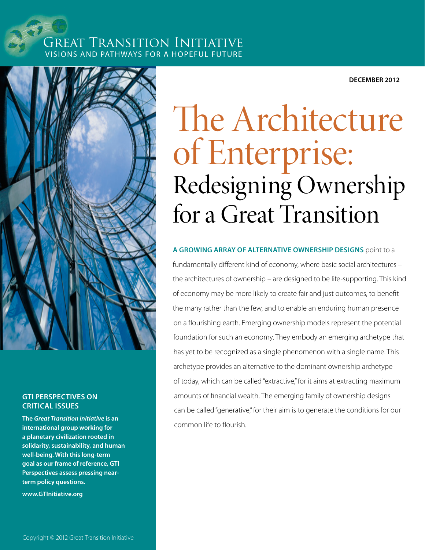## Great Transition Initiative Visions and Pathways for a Hopeful Future

**December 2012**



### **GTI Perspectives on Critical Issues**

**The** *[Great Transition Initiative](http://www.GTInitiative.org)* **is an international group working for a planetary civilization rooted in solidarity, sustainability, and human well-being. With this long-term goal as our frame of reference, GTI Perspectives assess pressing nearterm policy questions.**

**[www.GTInitiative.org](http://www.GTInitiative.org)**

# The Architecture of Enterprise: Redesigning Ownership for a Great Transition

**A growing array of alternative ownership designs** point to a fundamentally different kind of economy, where basic social architectures – the architectures of ownership – are designed to be life-supporting. This kind of economy may be more likely to create fair and just outcomes, to benefit the many rather than the few, and to enable an enduring human presence on a flourishing earth. Emerging ownership models represent the potential foundation for such an economy. They embody an emerging archetype that has yet to be recognized as a single phenomenon with a single name. This archetype provides an alternative to the dominant ownership archetype of today, which can be called "extractive," for it aims at extracting maximum amounts of financial wealth. The emerging family of ownership designs can be called "generative," for their aim is to generate the conditions for our common life to flourish.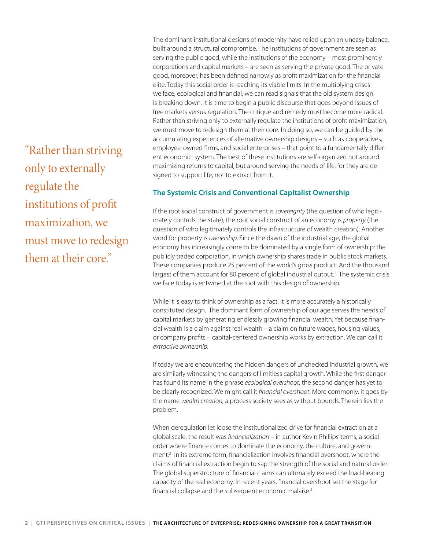"Rather than striving only to externally regulate the institutions of profit maximization, we must move to redesign them at their core."

The dominant institutional designs of modernity have relied upon an uneasy balance, built around a structural compromise. The institutions of government are seen as serving the public good, while the institutions of the economy – most prominently corporations and capital markets – are seen as serving the private good. The private good, moreover, has been defined narrowly as profit maximization for the financial elite. Today this social order is reaching its viable limits. In the multiplying crises we face, ecological and financial, we can read signals that the old system design is breaking down. It is time to begin a public discourse that goes beyond issues of free markets versus regulation. The critique and remedy must become more radical. Rather than striving only to externally regulate the institutions of profit maximization, we must move to redesign them at their core. In doing so, we can be guided by the accumulating experiences of alternative ownership designs – such as cooperatives, employee-owned firms, and social enterprises – that point to a fundamentally different economic system. The best of these institutions are self-organized not around maximizing returns to capital, but around serving the needs of life, for they are designed to support life, not to extract from it.

#### **The Systemic Crisis and Conventional Capitalist Ownership**

If the root social construct of government is *sovereignty* (the question of who legitimately controls the state), the root social construct of an economy is *property* (the question of who legitimately controls the infrastructure of wealth creation). Another word for property is *ownership*. Since the dawn of the industrial age, the global economy has increasingly come to be dominated by a single form of ownership: the publicly traded corporation, in which ownership shares trade in public stock markets. These companies produce 25 percent of the world's gross product. And the thousand largest of them account for 80 percent of global industrial output.<sup>1</sup> The systemic crisis we face today is entwined at the root with this design of ownership.

While it is easy to think of ownership as a fact, it is more accurately a historically constituted design. The dominant form of ownership of our age serves the needs of capital markets by generating endlessly growing financial wealth. Yet because financial wealth is a claim against real wealth – a claim on future wages, housing values, or company profits – capital-centered ownership works by extraction. We can call it *extractive ownership*.

If today we are encountering the hidden dangers of unchecked industrial growth, we are similarly witnessing the dangers of limitless capital growth. While the first danger has found its name in the phrase *ecological overshoot*, the second danger has yet to be clearly recognized. We might call it *financial overshoot*. More commonly, it goes by the name *wealth creation,* a process society sees as without bounds. Therein lies the problem.

When deregulation let loose the institutionalized drive for financial extraction at a global scale, the result was *financialization* – in author Kevin Phillips' terms, a social order where finance comes to dominate the economy, the culture, and government.2 In its extreme form, financialization involves financial overshoot, where the claims of financial extraction begin to sap the strength of the social and natural order. The global superstructure of financial claims can ultimately exceed the load-bearing capacity of the real economy. In recent years, financial overshoot set the stage for financial collapse and the subsequent economic malaise.<sup>3</sup>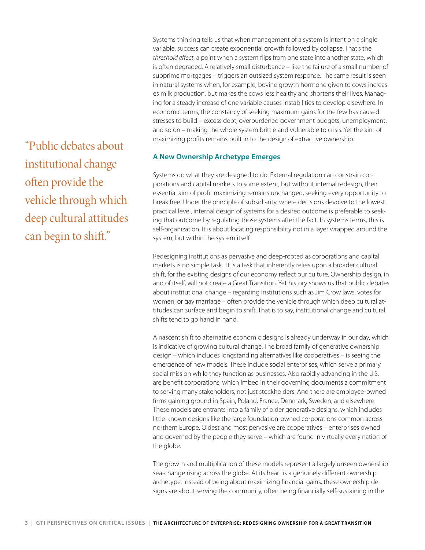"Public debates about institutional change often provide the vehicle through which deep cultural attitudes can begin to shift."

Systems thinking tells us that when management of a system is intent on a single variable, success can create exponential growth followed by collapse. That's the *threshold effect*, a point when a system flips from one state into another state, which is often degraded. A relatively small disturbance – like the failure of a small number of subprime mortgages – triggers an outsized system response. The same result is seen in natural systems when, for example, bovine growth hormone given to cows increases milk production, but makes the cows less healthy and shortens their lives. Managing for a steady increase of one variable causes instabilities to develop elsewhere. In economic terms, the constancy of seeking maximum gains for the few has caused stresses to build – excess debt, overburdened government budgets, unemployment, and so on – making the whole system brittle and vulnerable to crisis. Yet the aim of maximizing profits remains built in to the design of extractive ownership.

#### **A New Ownership Archetype Emerges**

Systems do what they are designed to do. External regulation can constrain corporations and capital markets to some extent, but without internal redesign, their essential aim of profit maximizing remains unchanged, seeking every opportunity to break free. Under the principle of subsidiarity, where decisions devolve to the lowest practical level, internal design of systems for a desired outcome is preferable to seeking that outcome by regulating those systems after the fact. In systems terms, this is self-organization. It is about locating responsibility not in a layer wrapped around the system, but within the system itself.

Redesigning institutions as pervasive and deep-rooted as corporations and capital markets is no simple task. It is a task that inherently relies upon a broader cultural shift, for the existing designs of our economy reflect our culture. Ownership design, in and of itself, will not create a Great Transition. Yet history shows us that public debates about institutional change – regarding institutions such as Jim Crow laws, votes for women, or gay marriage – often provide the vehicle through which deep cultural attitudes can surface and begin to shift. That is to say, institutional change and cultural shifts tend to go hand in hand.

A nascent shift to alternative economic designs is already underway in our day, which is indicative of growing cultural change. The broad family of generative ownership design – which includes longstanding alternatives like cooperatives – is seeing the emergence of new models. These include social enterprises, which serve a primary social mission while they function as businesses. Also rapidly advancing in the U.S. are benefit corporations, which imbed in their governing documents a commitment to serving many stakeholders, not just stockholders. And there are employee-owned firms gaining ground in Spain, Poland, France, Denmark, Sweden, and elsewhere. These models are entrants into a family of older generative designs, which includes little-known designs like the large foundation-owned corporations common across northern Europe. Oldest and most pervasive are cooperatives – enterprises owned and governed by the people they serve – which are found in virtually every nation of the globe.

The growth and multiplication of these models represent a largely unseen ownership sea-change rising across the globe. At its heart is a genuinely different ownership archetype. Instead of being about maximizing financial gains, these ownership designs are about serving the community, often being financially self-sustaining in the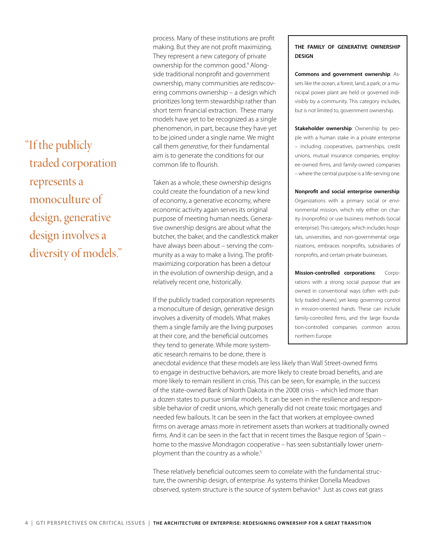"If the publicly traded corporation represents a monoculture of design, generative design involves a diversity of models." process. Many of these institutions are profit making. But they are not profit maximizing. They represent a new category of private ownership for the common good.4 Alongside traditional nonprofit and government ownership, many communities are rediscovering commons ownership – a design which prioritizes long term stewardship rather than short term financial extraction. These many models have yet to be recognized as a single phenomenon, in part, because they have yet to be joined under a single name. We might call them *generative*, for their fundamental aim is to generate the conditions for our common life to flourish.

Taken as a whole, these ownership designs could create the foundation of a new kind of economy, a generative economy, where economic activity again serves its original purpose of meeting human needs. Generative ownership designs are about what the butcher, the baker, and the candlestick maker have always been about – serving the community as a way to make a living. The profitmaximizing corporation has been a detour in the evolution of ownership design, and a relatively recent one, historically.

If the publicly traded corporation represents a monoculture of design, generative design involves a diversity of models. What makes them a single family are the living purposes at their core, and the beneficial outcomes they tend to generate. While more systematic research remains to be done, there is

**THE FAMILY OF GENERATIVE OWNERSHIP DESIGN**

**Commons and government ownership**: Assets like the ocean, a forest, land, a park, or a municipal power plant are held or governed indivisibly by a community. This category includes, but is not limited to, government ownership.

**Stakeholder ownership**: Ownership by people with a human stake in a private enterprise – including cooperatives, partnerships, credit unions, mutual insurance companies, employee-owned firms, and family-owned companies – where the central purpose is a life-serving one.

**Nonprofit and social enterprise ownership**: Organizations with a primary social or environmental mission, which rely either on charity (nonprofits) or use business methods (social enterprise). This category, which includes hospitals, universities, and non-governmental organizations, embraces nonprofits, subsidiaries of nonprofits, and certain private businesses.

**Mission-controlled corporations**: Corporations with a strong social purpose that are owned in conventional ways (often with publicly traded shares), yet keep governing control in mission-oriented hands. These can include family-controlled firms, and the large foundation-controlled companies common across northern Europe

anecdotal evidence that these models are less likely than Wall Street-owned firms to engage in destructive behaviors, are more likely to create broad benefits, and are more likely to remain resilient in crisis. This can be seen, for example, in the success of the state-owned Bank of North Dakota in the 2008 crisis – which led more than a dozen states to pursue similar models. It can be seen in the resilience and responsible behavior of credit unions, which generally did not create toxic mortgages and needed few bailouts. It can be seen in the fact that workers at employee-owned firms on average amass more in retirement assets than workers at traditionally owned firms. And it can be seen in the fact that in recent times the Basque region of Spain – home to the massive Mondragon cooperative – has seen substantially lower unemployment than the country as a whole.<sup>5</sup>

These relatively beneficial outcomes seem to correlate with the fundamental structure, the ownership design, of enterprise. As systems thinker Donella Meadows observed, system structure is the source of system behavior.6 Just as cows eat grass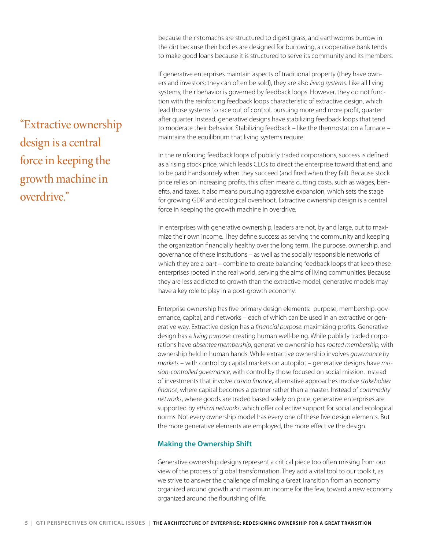because their stomachs are structured to digest grass, and earthworms burrow in the dirt because their bodies are designed for burrowing, a cooperative bank tends to make good loans because it is structured to serve its community and its members.

If generative enterprises maintain aspects of traditional property (they have owners and investors; they can often be sold), they are also *living systems*. Like all living systems, their behavior is governed by feedback loops. However, they do not function with the reinforcing feedback loops characteristic of extractive design, which lead those systems to race out of control, pursuing more and more profit, quarter after quarter. Instead, generative designs have stabilizing feedback loops that tend to moderate their behavior. Stabilizing feedback – like the thermostat on a furnace – maintains the equilibrium that living systems require.

In the reinforcing feedback loops of publicly traded corporations, success is defined as a rising stock price, which leads CEOs to direct the enterprise toward that end, and to be paid handsomely when they succeed (and fired when they fail). Because stock price relies on increasing profits, this often means cutting costs, such as wages, benefits, and taxes. It also means pursuing aggressive expansion, which sets the stage for growing GDP and ecological overshoot. Extractive ownership design is a central force in keeping the growth machine in overdrive.

In enterprises with generative ownership, leaders are not, by and large, out to maximize their own income. They define success as serving the community and keeping the organization financially healthy over the long term. The purpose, ownership, and governance of these institutions – as well as the socially responsible networks of which they are a part – combine to create balancing feedback loops that keep these enterprises rooted in the real world, serving the aims of living communities. Because they are less addicted to growth than the extractive model, generative models may have a key role to play in a post-growth economy.

Enterprise ownership has five primary design elements: purpose, membership, governance, capital, and networks – each of which can be used in an extractive or generative way. Extractive design has a *financial purpose*: maximizing profits. Generative design has a *living purpose*: creating human well-being. While publicly traded corporations have *absentee membership*, generative ownership has *rooted membership,* with ownership held in human hands. While extractive ownership involves *governance by markets* – with control by capital markets on autopilot – generative designs have *mission-controlled governance*, with control by those focused on social mission. Instead of investments that involve *casino finance*, alternative approaches involve *stakeholder finance*, where capital becomes a partner rather than a master. Instead of *commodity networks*, where goods are traded based solely on price, generative enterprises are supported by *ethical networks*, which offer collective support for social and ecological norms. Not every ownership model has every one of these five design elements. But the more generative elements are employed, the more effective the design.

### **Making the Ownership Shift**

Generative ownership designs represent a critical piece too often missing from our view of the process of global transformation. They add a vital tool to our toolkit, as we strive to answer the challenge of making a Great Transition from an economy organized around growth and maximum income for the few, toward a new economy organized around the flourishing of life.

"Extractive ownership design is a central force in keeping the growth machine in overdrive."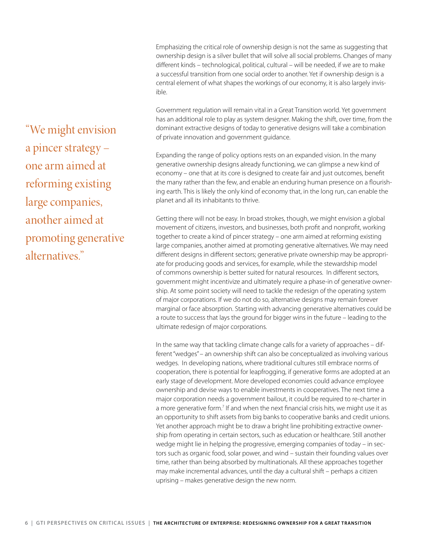Emphasizing the critical role of ownership design is not the same as suggesting that ownership design is a silver bullet that will solve all social problems. Changes of many different kinds – technological, political, cultural – will be needed, if we are to make a successful transition from one social order to another. Yet if ownership design is a central element of what shapes the workings of our economy, it is also largely invisible.

Government regulation will remain vital in a Great Transition world. Yet government has an additional role to play as system designer. Making the shift, over time, from the dominant extractive designs of today to generative designs will take a combination of private innovation and government guidance.

Expanding the range of policy options rests on an expanded vision. In the many generative ownership designs already functioning, we can glimpse a new kind of economy – one that at its core is designed to create fair and just outcomes, benefit the many rather than the few, and enable an enduring human presence on a flourishing earth. This is likely the only kind of economy that, in the long run, can enable the planet and all its inhabitants to thrive.

Getting there will not be easy. In broad strokes, though, we might envision a global movement of citizens, investors, and businesses, both profit and nonprofit, working together to create a kind of pincer strategy – one arm aimed at reforming existing large companies, another aimed at promoting generative alternatives. We may need different designs in different sectors; generative private ownership may be appropriate for producing goods and services, for example, while the stewardship model of commons ownership is better suited for natural resources. In different sectors, government might incentivize and ultimately require a phase-in of generative ownership. At some point society will need to tackle the redesign of the operating system of major corporations. If we do not do so, alternative designs may remain forever marginal or face absorption. Starting with advancing generative alternatives could be a route to success that lays the ground for bigger wins in the future – leading to the ultimate redesign of major corporations.

In the same way that tackling climate change calls for a variety of approaches – different "wedges" – an ownership shift can also be conceptualized as involving various wedges. In developing nations, where traditional cultures still embrace norms of cooperation, there is potential for leapfrogging, if generative forms are adopted at an early stage of development. More developed economies could advance employee ownership and devise ways to enable investments in cooperatives. The next time a major corporation needs a government bailout, it could be required to re-charter in a more generative form.<sup>7</sup> If and when the next financial crisis hits, we might use it as an opportunity to shift assets from big banks to cooperative banks and credit unions. Yet another approach might be to draw a bright line prohibiting extractive ownership from operating in certain sectors, such as education or healthcare. Still another wedge might lie in helping the progressive, emerging companies of today – in sectors such as organic food, solar power, and wind – sustain their founding values over time, rather than being absorbed by multinationals. All these approaches together may make incremental advances, until the day a cultural shift – perhaps a citizen uprising – makes generative design the new norm.

"We might envision a pincer strategy – one arm aimed at reforming existing large companies, another aimed at promoting generative alternatives."